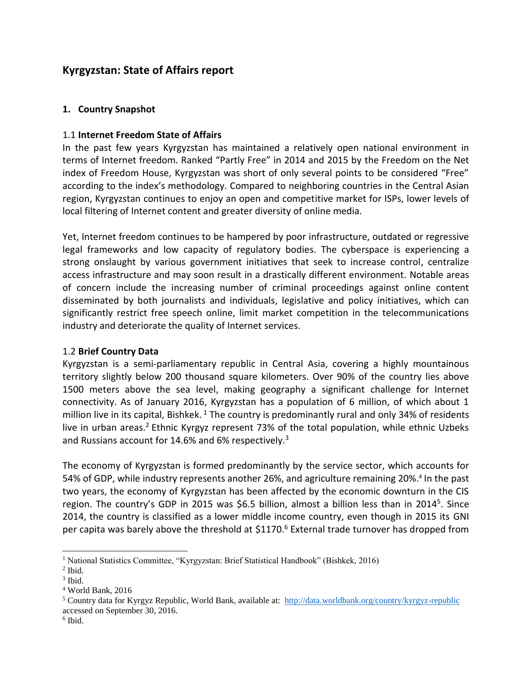# **Kyrgyzstan: State of Affairs report**

### **1. Country Snapshot**

#### 1.1 **Internet Freedom State of Affairs**

In the past few years Kyrgyzstan has maintained a relatively open national environment in terms of Internet freedom. Ranked "Partly Free" in 2014 and 2015 by the Freedom on the Net index of Freedom House, Kyrgyzstan was short of only several points to be considered "Free" according to the index's methodology. Compared to neighboring countries in the Central Asian region, Kyrgyzstan continues to enjoy an open and competitive market for ISPs, lower levels of local filtering of Internet content and greater diversity of online media.

Yet, Internet freedom continues to be hampered by poor infrastructure, outdated or regressive legal frameworks and low capacity of regulatory bodies. The cyberspace is experiencing a strong onslaught by various government initiatives that seek to increase control, centralize access infrastructure and may soon result in a drastically different environment. Notable areas of concern include the increasing number of criminal proceedings against online content disseminated by both journalists and individuals, legislative and policy initiatives, which can significantly restrict free speech online, limit market competition in the telecommunications industry and deteriorate the quality of Internet services.

#### 1.2 **Brief Country Data**

Kyrgyzstan is a semi-parliamentary republic in Central Asia, covering a highly mountainous territory slightly below 200 thousand square kilometers. Over 90% of the country lies above 1500 meters above the sea level, making geography a significant challenge for Internet connectivity. As of January 2016, Kyrgyzstan has a population of 6 million, of which about 1 million live in its capital, Bishkek. <sup>1</sup> The country is predominantly rural and only 34% of residents live in urban areas.<sup>2</sup> Ethnic Kyrgyz represent 73% of the total population, while ethnic Uzbeks and Russians account for 14.6% and 6% respectively.<sup>3</sup>

The economy of Kyrgyzstan is formed predominantly by the service sector, which accounts for 54% of GDP, while industry represents another 26%, and agriculture remaining 20%. 4 In the past two years, the economy of Kyrgyzstan has been affected by the economic downturn in the CIS region. The country's GDP in 2015 was \$6.5 billion, almost a billion less than in 2014<sup>5</sup>. Since 2014, the country is classified as a lower middle income country, even though in 2015 its GNI per capita was barely above the threshold at \$1170.<sup>6</sup> External trade turnover has dropped from

<sup>&</sup>lt;sup>1</sup> National Statistics Committee, "Kyrgyzstan: Brief Statistical Handbook" (Bishkek, 2016)

<sup>2</sup> Ibid.

<sup>3</sup> Ibid.

<sup>4</sup> World Bank, 2016

<sup>5</sup> Country data for Kyrgyz Republic, World Bank, available at:<http://data.worldbank.org/country/kyrgyz-republic> accessed on September 30, 2016.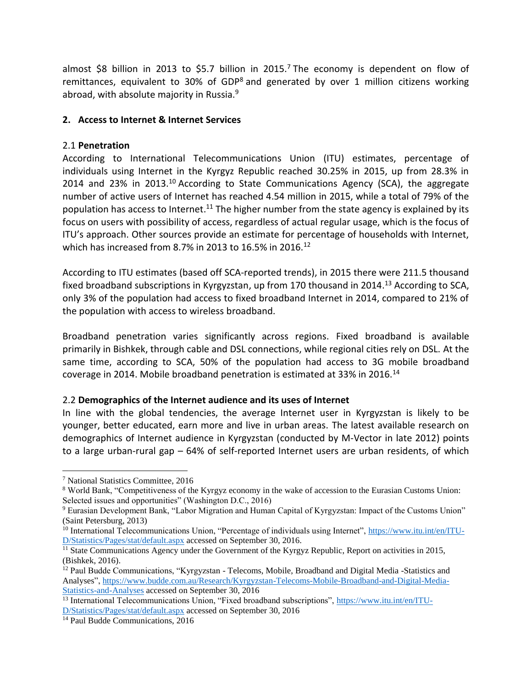almost \$8 billion in 2013 to \$5.7 billion in 2015.<sup>7</sup> The economy is dependent on flow of remittances, equivalent to 30% of GDP<sup>8</sup> and generated by over 1 million citizens working abroad, with absolute majority in Russia. $9$ 

### **2. Access to Internet & Internet Services**

### 2.1 **Penetration**

According to International Telecommunications Union (ITU) estimates, percentage of individuals using Internet in the Kyrgyz Republic reached 30.25% in 2015, up from 28.3% in 2014 and 23% in 2013.<sup>10</sup> According to State Communications Agency (SCA), the aggregate number of active users of Internet has reached 4.54 million in 2015, while a total of 79% of the population has access to Internet.<sup>11</sup> The higher number from the state agency is explained by its focus on users with possibility of access, regardless of actual regular usage, which is the focus of ITU's approach. Other sources provide an estimate for percentage of households with Internet, which has increased from 8.7% in 2013 to 16.5% in 2016.<sup>12</sup>

According to ITU estimates (based off SCA-reported trends), in 2015 there were 211.5 thousand fixed broadband subscriptions in Kyrgyzstan, up from 170 thousand in 2014.<sup>13</sup> According to SCA, only 3% of the population had access to fixed broadband Internet in 2014, compared to 21% of the population with access to wireless broadband.

Broadband penetration varies significantly across regions. Fixed broadband is available primarily in Bishkek, through cable and DSL connections, while regional cities rely on DSL. At the same time, according to SCA, 50% of the population had access to 3G mobile broadband coverage in 2014. Mobile broadband penetration is estimated at 33% in 2016.<sup>14</sup>

#### 2.2 **Demographics of the Internet audience and its uses of Internet**

In line with the global tendencies, the average Internet user in Kyrgyzstan is likely to be younger, better educated, earn more and live in urban areas. The latest available research on demographics of Internet audience in Kyrgyzstan (conducted by M-Vector in late 2012) points to a large urban-rural gap – 64% of self-reported Internet users are urban residents, of which

<sup>7</sup> National Statistics Committee, 2016

<sup>8</sup> World Bank, "Competitiveness of the Kyrgyz economy in the wake of accession to the Eurasian Customs Union: Selected issues and opportunities" (Washington D.C., 2016)

<sup>9</sup> Eurasian Development Bank, "Labor Migration and Human Capital of Kyrgyzstan: Impact of the Customs Union" (Saint Petersburg, 2013)

<sup>&</sup>lt;sup>10</sup> International Telecommunications Union, "Percentage of individuals using Internet", [https://www.itu.int/en/ITU-](https://www.itu.int/en/ITU-D/Statistics/Pages/stat/default.aspx)[D/Statistics/Pages/stat/default.aspx](https://www.itu.int/en/ITU-D/Statistics/Pages/stat/default.aspx) accessed on September 30, 2016.

 $\frac{11}{11}$  State Communications Agency under the Government of the Kyrgyz Republic, Report on activities in 2015, (Bishkek, 2016).

<sup>&</sup>lt;sup>12</sup> Paul Budde Communications, "Kyrgyzstan - Telecoms, Mobile, Broadband and Digital Media -Statistics and Analyses", [https://www.budde.com.au/Research/Kyrgyzstan-Telecoms-Mobile-Broadband-and-Digital-Media-](https://www.budde.com.au/Research/Kyrgyzstan-Telecoms-Mobile-Broadband-and-Digital-Media-Statistics-and-Analyses)[Statistics-and-Analyses](https://www.budde.com.au/Research/Kyrgyzstan-Telecoms-Mobile-Broadband-and-Digital-Media-Statistics-and-Analyses) accessed on September 30, 2016

<sup>13</sup> International Telecommunications Union, "Fixed broadband subscriptions", [https://www.itu.int/en/ITU-](https://www.itu.int/en/ITU-D/Statistics/Pages/stat/default.aspx)[D/Statistics/Pages/stat/default.aspx](https://www.itu.int/en/ITU-D/Statistics/Pages/stat/default.aspx) accessed on September 30, 2016

<sup>&</sup>lt;sup>14</sup> Paul Budde Communications, 2016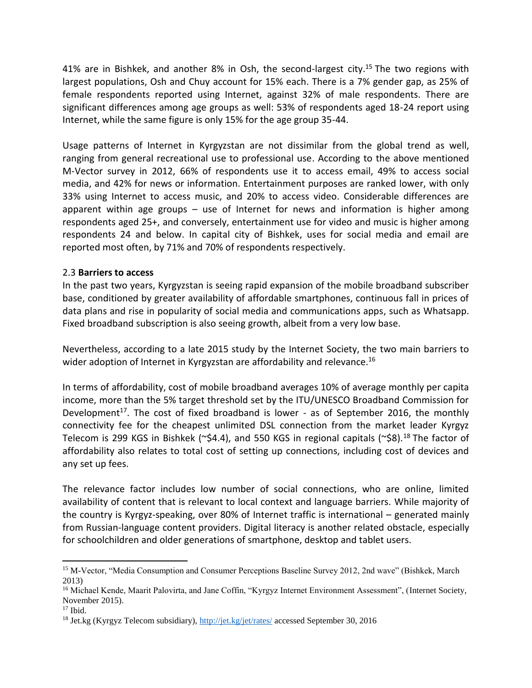41% are in Bishkek, and another 8% in Osh, the second-largest city.<sup>15</sup> The two regions with largest populations, Osh and Chuy account for 15% each. There is a 7% gender gap, as 25% of female respondents reported using Internet, against 32% of male respondents. There are significant differences among age groups as well: 53% of respondents aged 18-24 report using Internet, while the same figure is only 15% for the age group 35-44.

Usage patterns of Internet in Kyrgyzstan are not dissimilar from the global trend as well, ranging from general recreational use to professional use. According to the above mentioned M-Vector survey in 2012, 66% of respondents use it to access email, 49% to access social media, and 42% for news or information. Entertainment purposes are ranked lower, with only 33% using Internet to access music, and 20% to access video. Considerable differences are apparent within age groups – use of Internet for news and information is higher among respondents aged 25+, and conversely, entertainment use for video and music is higher among respondents 24 and below. In capital city of Bishkek, uses for social media and email are reported most often, by 71% and 70% of respondents respectively.

#### 2.3 **Barriers to access**

In the past two years, Kyrgyzstan is seeing rapid expansion of the mobile broadband subscriber base, conditioned by greater availability of affordable smartphones, continuous fall in prices of data plans and rise in popularity of social media and communications apps, such as Whatsapp. Fixed broadband subscription is also seeing growth, albeit from a very low base.

Nevertheless, according to a late 2015 study by the Internet Society, the two main barriers to wider adoption of Internet in Kyrgyzstan are affordability and relevance.<sup>16</sup>

In terms of affordability, cost of mobile broadband averages 10% of average monthly per capita income, more than the 5% target threshold set by the ITU/UNESCO Broadband Commission for Development<sup>17</sup>. The cost of fixed broadband is lower - as of September 2016, the monthly connectivity fee for the cheapest unlimited DSL connection from the market leader Kyrgyz Telecom is 299 KGS in Bishkek ( $\approx$ \$4.4), and 550 KGS in regional capitals ( $\approx$ \$8).<sup>18</sup> The factor of affordability also relates to total cost of setting up connections, including cost of devices and any set up fees.

The relevance factor includes low number of social connections, who are online, limited availability of content that is relevant to local context and language barriers. While majority of the country is Kyrgyz-speaking, over 80% of Internet traffic is international – generated mainly from Russian-language content providers. Digital literacy is another related obstacle, especially for schoolchildren and older generations of smartphone, desktop and tablet users.

 $\overline{\phantom{a}}$ <sup>15</sup> M-Vector, "Media Consumption and Consumer Perceptions Baseline Survey 2012, 2nd wave" (Bishkek, March 2013)

<sup>&</sup>lt;sup>16</sup> Michael Kende, Maarit Palovirta, and Jane Coffin, "Kyrgyz Internet Environment Assessment", (Internet Society, November 2015).

 $17$  Ibid.

<sup>&</sup>lt;sup>18</sup> Jet.kg (Kyrgyz Telecom subsidiary),<http://jet.kg/jet/rates/> accessed September 30, 2016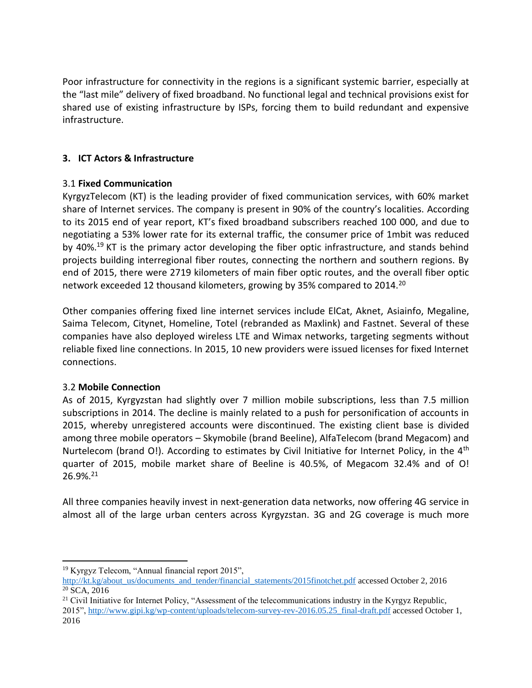Poor infrastructure for connectivity in the regions is a significant systemic barrier, especially at the "last mile" delivery of fixed broadband. No functional legal and technical provisions exist for shared use of existing infrastructure by ISPs, forcing them to build redundant and expensive infrastructure.

# **3. ICT Actors & Infrastructure**

# 3.1 **Fixed Communication**

KyrgyzTelecom (KT) is the leading provider of fixed communication services, with 60% market share of Internet services. The company is present in 90% of the country's localities. According to its 2015 end of year report, KT's fixed broadband subscribers reached 100 000, and due to negotiating a 53% lower rate for its external traffic, the consumer price of 1mbit was reduced by 40%.<sup>19</sup> KT is the primary actor developing the fiber optic infrastructure, and stands behind projects building interregional fiber routes, connecting the northern and southern regions. By end of 2015, there were 2719 kilometers of main fiber optic routes, and the overall fiber optic network exceeded 12 thousand kilometers, growing by 35% compared to 2014.<sup>20</sup>

Other companies offering fixed line internet services include ElCat, Aknet, Asiainfo, Megaline, Saima Telecom, Citynet, Homeline, Totel (rebranded as Maxlink) and Fastnet. Several of these companies have also deployed wireless LTE and Wimax networks, targeting segments without reliable fixed line connections. In 2015, 10 new providers were issued licenses for fixed Internet connections.

# 3.2 **Mobile Connection**

As of 2015, Kyrgyzstan had slightly over 7 million mobile subscriptions, less than 7.5 million subscriptions in 2014. The decline is mainly related to a push for personification of accounts in 2015, whereby unregistered accounts were discontinued. The existing client base is divided among three mobile operators – Skymobile (brand Beeline), AlfaTelecom (brand Megacom) and Nurtelecom (brand O!). According to estimates by Civil Initiative for Internet Policy, in the 4<sup>th</sup> quarter of 2015, mobile market share of Beeline is 40.5%, of Megacom 32.4% and of O!  $26.9\%$ <sup>21</sup>

All three companies heavily invest in next-generation data networks, now offering 4G service in almost all of the large urban centers across Kyrgyzstan. 3G and 2G coverage is much more

<sup>21</sup> Civil Initiative for Internet Policy, "Assessment of the telecommunications industry in the Kyrgyz Republic,

 $\overline{\phantom{a}}$ <sup>19</sup> Kyrgyz Telecom, "Annual financial report 2015",

[http://kt.kg/about\\_us/documents\\_and\\_tender/financial\\_statements/2015finotchet.pdf](http://kt.kg/about_us/documents_and_tender/financial_statements/2015finotchet.pdf) accessed October 2, 2016  $20$  SCA,  $2016$ 

<sup>2015&</sup>quot;[, http://www.gipi.kg/wp-content/uploads/telecom-survey-rev-2016.05.25\\_final-draft.pdf](http://www.gipi.kg/wp-content/uploads/telecom-survey-rev-2016.05.25_final-draft.pdf) accessed October 1, 2016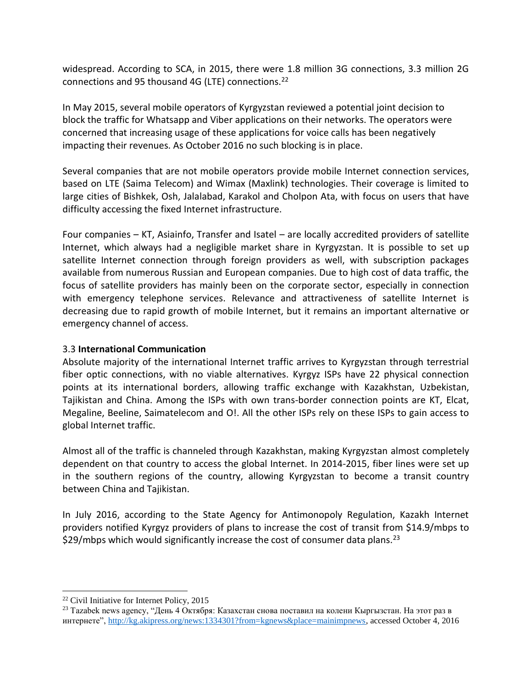widespread. According to SCA, in 2015, there were 1.8 million 3G connections, 3.3 million 2G connections and 95 thousand 4G (LTE) connections.<sup>22</sup>

In May 2015, several mobile operators of Kyrgyzstan reviewed a potential joint decision to block the traffic for Whatsapp and Viber applications on their networks. The operators were concerned that increasing usage of these applications for voice calls has been negatively impacting their revenues. As October 2016 no such blocking is in place.

Several companies that are not mobile operators provide mobile Internet connection services, based on LTE (Saima Telecom) and Wimax (Maxlink) technologies. Their coverage is limited to large cities of Bishkek, Osh, Jalalabad, Karakol and Cholpon Ata, with focus on users that have difficulty accessing the fixed Internet infrastructure.

Four companies – KT, Asiainfo, Transfer and Isatel – are locally accredited providers of satellite Internet, which always had a negligible market share in Kyrgyzstan. It is possible to set up satellite Internet connection through foreign providers as well, with subscription packages available from numerous Russian and European companies. Due to high cost of data traffic, the focus of satellite providers has mainly been on the corporate sector, especially in connection with emergency telephone services. Relevance and attractiveness of satellite Internet is decreasing due to rapid growth of mobile Internet, but it remains an important alternative or emergency channel of access.

# 3.3 **International Communication**

Absolute majority of the international Internet traffic arrives to Kyrgyzstan through terrestrial fiber optic connections, with no viable alternatives. Kyrgyz ISPs have 22 physical connection points at its international borders, allowing traffic exchange with Kazakhstan, Uzbekistan, Tajikistan and China. Among the ISPs with own trans-border connection points are KT, Elcat, Megaline, Beeline, Saimatelecom and O!. All the other ISPs rely on these ISPs to gain access to global Internet traffic.

Almost all of the traffic is channeled through Kazakhstan, making Kyrgyzstan almost completely dependent on that country to access the global Internet. In 2014-2015, fiber lines were set up in the southern regions of the country, allowing Kyrgyzstan to become a transit country between China and Tajikistan.

In July 2016, according to the State Agency for Antimonopoly Regulation, Kazakh Internet providers notified Kyrgyz providers of plans to increase the cost of transit from \$14.9/mbps to  $$29/mbps$  which would significantly increase the cost of consumer data plans.<sup>23</sup>

<sup>22</sup> Civil Initiative for Internet Policy, 2015

<sup>&</sup>lt;sup>23</sup> Tazabek news agency, "День 4 Октября: Казахстан снова поставил на колени Кыргызстан. На этот раз в интернете", [http://kg.akipress.org/news:1334301?from=kgnews&place=mainimpnews,](http://kg.akipress.org/news:1334301?from=kgnews&place=mainimpnews) accessed October 4, 2016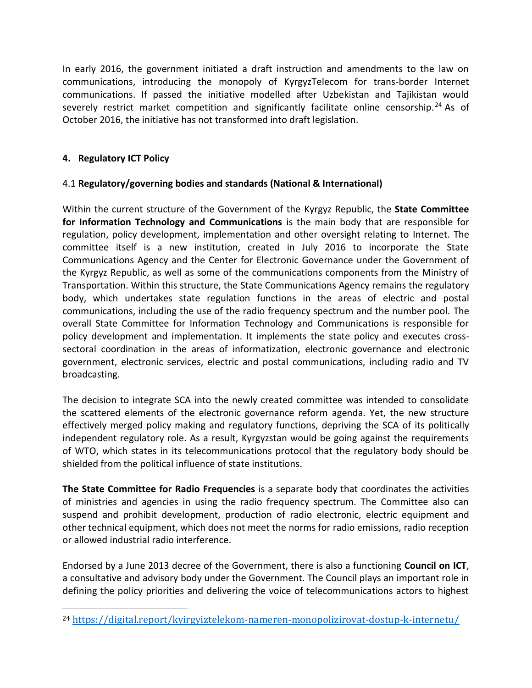In early 2016, the government initiated a draft instruction and amendments to the law on communications, introducing the monopoly of KyrgyzTelecom for trans-border Internet communications. If passed the initiative modelled after Uzbekistan and Tajikistan would severely restrict market competition and significantly facilitate online censorship.<sup>24</sup> As of October 2016, the initiative has not transformed into draft legislation.

# **4. Regulatory ICT Policy**

l

# 4.1 **Regulatory/governing bodies and standards (National & International)**

Within the current structure of the Government of the Kyrgyz Republic, the **State Committee for Information Technology and Communications** is the main body that are responsible for regulation, policy development, implementation and other oversight relating to Internet. The committee itself is a new institution, created in July 2016 to incorporate the State Communications Agency and the Center for Electronic Governance under the Government of the Kyrgyz Republic, as well as some of the communications components from the Ministry of Transportation. Within this structure, the State Communications Agency remains the regulatory body, which undertakes state regulation functions in the areas of electric and postal communications, including the use of the radio frequency spectrum and the number pool. The overall State Committee for Information Technology and Communications is responsible for policy development and implementation. It implements the state policy and executes crosssectoral coordination in the areas of informatization, electronic governance and electronic government, electronic services, electric and postal communications, including radio and TV broadcasting.

The decision to integrate SCA into the newly created committee was intended to consolidate the scattered elements of the electronic governance reform agenda. Yet, the new structure effectively merged policy making and regulatory functions, depriving the SCA of its politically independent regulatory role. As a result, Kyrgyzstan would be going against the requirements of WTO, which states in its telecommunications protocol that the regulatory body should be shielded from the political influence of state institutions.

**The State Committee for Radio Frequencies** is a separate body that coordinates the activities of ministries and agencies in using the radio frequency spectrum. The Committee also can suspend and prohibit development, production of radio electronic, electric equipment and other technical equipment, which does not meet the norms for radio emissions, radio reception or allowed industrial radio interference.

Endorsed by a June 2013 decree of the Government, there is also a functioning **Council on ICT**, a consultative and advisory body under the Government. The Council plays an important role in defining the policy priorities and delivering the voice of telecommunications actors to highest

<sup>24</sup> <https://digital.report/kyirgyiztelekom-nameren-monopolizirovat-dostup-k-internetu/>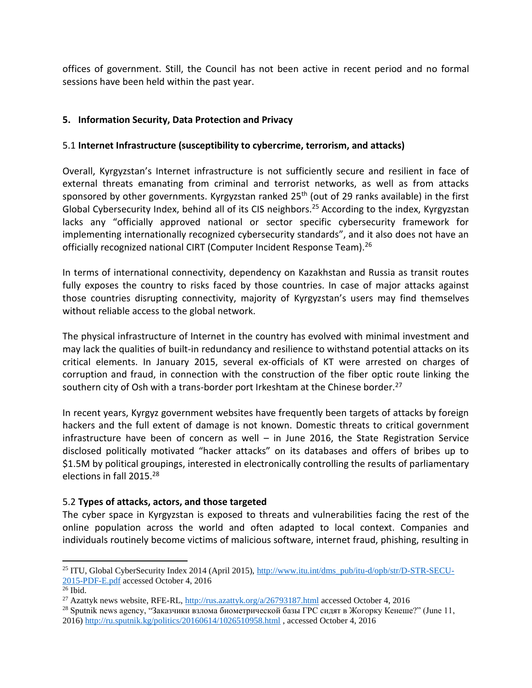offices of government. Still, the Council has not been active in recent period and no formal sessions have been held within the past year.

# **5. Information Security, Data Protection and Privacy**

# 5.1 **Internet Infrastructure (susceptibility to cybercrime, terrorism, and attacks)**

Overall, Kyrgyzstan's Internet infrastructure is not sufficiently secure and resilient in face of external threats emanating from criminal and terrorist networks, as well as from attacks sponsored by other governments. Kyrgyzstan ranked 25<sup>th</sup> (out of 29 ranks available) in the first Global Cybersecurity Index, behind all of its CIS neighbors.<sup>25</sup> According to the index, Kyrgyzstan lacks any "officially approved national or sector specific cybersecurity framework for implementing internationally recognized cybersecurity standards", and it also does not have an officially recognized national CIRT (Computer Incident Response Team).<sup>26</sup>

In terms of international connectivity, dependency on Kazakhstan and Russia as transit routes fully exposes the country to risks faced by those countries. In case of major attacks against those countries disrupting connectivity, majority of Kyrgyzstan's users may find themselves without reliable access to the global network.

The physical infrastructure of Internet in the country has evolved with minimal investment and may lack the qualities of built-in redundancy and resilience to withstand potential attacks on its critical elements. In January 2015, several ex-officials of KT were arrested on charges of corruption and fraud, in connection with the construction of the fiber optic route linking the southern city of Osh with a trans-border port Irkeshtam at the Chinese border.<sup>27</sup>

In recent years, Kyrgyz government websites have frequently been targets of attacks by foreign hackers and the full extent of damage is not known. Domestic threats to critical government infrastructure have been of concern as well – in June 2016, the State Registration Service disclosed politically motivated "hacker attacks" on its databases and offers of bribes up to \$1.5M by political groupings, interested in electronically controlling the results of parliamentary elections in fall 2015.<sup>28</sup>

# 5.2 **Types of attacks, actors, and those targeted**

The cyber space in Kyrgyzstan is exposed to threats and vulnerabilities facing the rest of the online population across the world and often adapted to local context. Companies and individuals routinely become victims of malicious software, internet fraud, phishing, resulting in

<sup>25</sup> ITU, Global CyberSecurity Index 2014 (April 2015), [http://www.itu.int/dms\\_pub/itu-d/opb/str/D-STR-SECU-](http://www.itu.int/dms_pub/itu-d/opb/str/D-STR-SECU-2015-PDF-E.pdf)[2015-PDF-E.pdf](http://www.itu.int/dms_pub/itu-d/opb/str/D-STR-SECU-2015-PDF-E.pdf) accessed October 4, 2016

 $26$  Ibid.

<sup>27</sup> Azattyk news website, RFE-RL,<http://rus.azattyk.org/a/26793187.html> accessed October 4, 2016

<sup>&</sup>lt;sup>28</sup> Sputnik news agency, "Заказчики взлома биометрической базы ГРС сидят в Жогорку Кенеше?" (June 11, 2016)<http://ru.sputnik.kg/politics/20160614/1026510958.html> , accessed October 4, 2016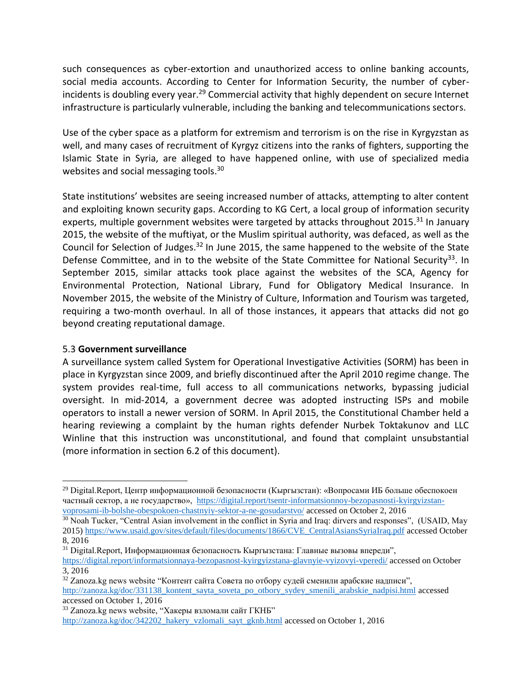such consequences as cyber-extortion and unauthorized access to online banking accounts, social media accounts. According to Center for Information Security, the number of cyberincidents is doubling every year.<sup>29</sup> Commercial activity that highly dependent on secure Internet infrastructure is particularly vulnerable, including the banking and telecommunications sectors.

Use of the cyber space as a platform for extremism and terrorism is on the rise in Kyrgyzstan as well, and many cases of recruitment of Kyrgyz citizens into the ranks of fighters, supporting the Islamic State in Syria, are alleged to have happened online, with use of specialized media websites and social messaging tools.<sup>30</sup>

State institutions' websites are seeing increased number of attacks, attempting to alter content and exploiting known security gaps. According to KG Cert, a local group of information security experts, multiple government websites were targeted by attacks throughout 2015.<sup>31</sup> In January 2015, the website of the muftiyat, or the Muslim spiritual authority, was defaced, as well as the Council for Selection of Judges.<sup>32</sup> In June 2015, the same happened to the website of the State Defense Committee, and in to the website of the State Committee for National Security<sup>33</sup>. In September 2015, similar attacks took place against the websites of the SCA, Agency for Environmental Protection, National Library, Fund for Obligatory Medical Insurance. In November 2015, the website of the Ministry of Culture, Information and Tourism was targeted, requiring a two-month overhaul. In all of those instances, it appears that attacks did not go beyond creating reputational damage.

#### 5.3 **Government surveillance**

l

A surveillance system called System for Operational Investigative Activities (SORM) has been in place in Kyrgyzstan since 2009, and briefly discontinued after the April 2010 regime change. The system provides real-time, full access to all communications networks, bypassing judicial oversight. In mid-2014, a government decree was adopted instructing ISPs and mobile operators to install a newer version of SORM. In April 2015, the Constitutional Chamber held a hearing reviewing a complaint by the human rights defender Nurbek Toktakunov and LLC Winline that this instruction was unconstitutional, and found that complaint unsubstantial (more information in section 6.2 of this document).

<sup>&</sup>lt;sup>29</sup> Digital.Report, Центр информационной безопасности (Кыргызстан): «Вопросами ИБ больше обеспокоен частный сектор, а не государство», [https://digital.report/tsentr-informatsionnoy-bezopasnosti-kyirgyizstan](https://digital.report/tsentr-informatsionnoy-bezopasnosti-kyirgyizstan-voprosami-ib-bolshe-obespokoen-chastnyiy-sektor-a-ne-gosudarstvo/)[voprosami-ib-bolshe-obespokoen-chastnyiy-sektor-a-ne-gosudarstvo/](https://digital.report/tsentr-informatsionnoy-bezopasnosti-kyirgyizstan-voprosami-ib-bolshe-obespokoen-chastnyiy-sektor-a-ne-gosudarstvo/) accessed on October 2, 2016

<sup>&</sup>lt;sup>30</sup> Noah Tucker, "Central Asian involvement in the conflict in Syria and Iraq: dirvers and responses", (USAID, May 2015) [https://www.usaid.gov/sites/default/files/documents/1866/CVE\\_CentralAsiansSyriaIraq.pdf](https://www.usaid.gov/sites/default/files/documents/1866/CVE_CentralAsiansSyriaIraq.pdf) accessed October 8, 2016

 $31$  Digital.Report, Информационная безопасность Кыргызстана: Главные вызовы впереди",

<https://digital.report/informatsionnaya-bezopasnost-kyirgyizstana-glavnyie-vyizovyi-vperedi/> accessed on October 3, 2016

 $32$  Zanoza.kg news website "Контент сайта Совета по отбору судей сменили арабские надписи", [http://zanoza.kg/doc/331138\\_kontent\\_sayta\\_soveta\\_po\\_otbory\\_sydey\\_smenili\\_arabskie\\_nadpisi.html](http://zanoza.kg/doc/331138_kontent_sayta_soveta_po_otbory_sydey_smenili_arabskie_nadpisi.html) accessed accessed on October 1, 2016

<sup>&</sup>lt;sup>33</sup> Zanoza.kg news website, "Хакеры взломали сайт ГКНБ"

[http://zanoza.kg/doc/342202\\_hakery\\_vzlomali\\_sayt\\_gknb.html](http://zanoza.kg/doc/342202_hakery_vzlomali_sayt_gknb.html) accessed on October 1, 2016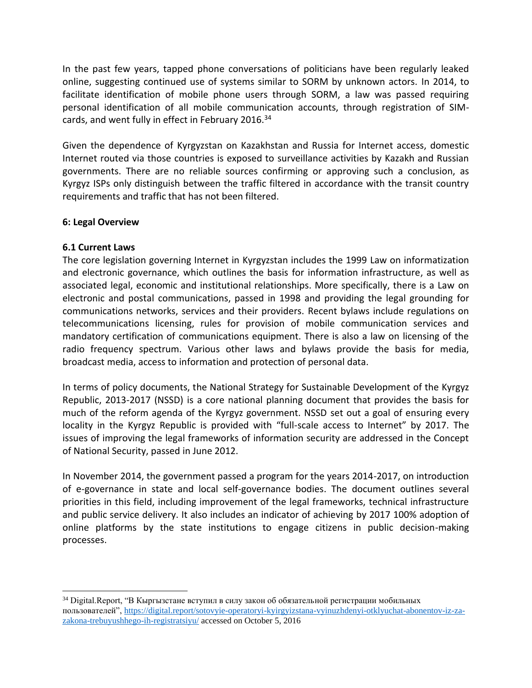In the past few years, tapped phone conversations of politicians have been regularly leaked online, suggesting continued use of systems similar to SORM by unknown actors. In 2014, to facilitate identification of mobile phone users through SORM, a law was passed requiring personal identification of all mobile communication accounts, through registration of SIMcards, and went fully in effect in February 2016.<sup>34</sup>

Given the dependence of Kyrgyzstan on Kazakhstan and Russia for Internet access, domestic Internet routed via those countries is exposed to surveillance activities by Kazakh and Russian governments. There are no reliable sources confirming or approving such a conclusion, as Kyrgyz ISPs only distinguish between the traffic filtered in accordance with the transit country requirements and traffic that has not been filtered.

### **6: Legal Overview**

### **6.1 Current Laws**

 $\overline{a}$ 

The core legislation governing Internet in Kyrgyzstan includes the 1999 Law on informatization and electronic governance, which outlines the basis for information infrastructure, as well as associated legal, economic and institutional relationships. More specifically, there is a Law on electronic and postal communications, passed in 1998 and providing the legal grounding for communications networks, services and their providers. Recent bylaws include regulations on telecommunications licensing, rules for provision of mobile communication services and mandatory certification of communications equipment. There is also a law on licensing of the radio frequency spectrum. Various other laws and bylaws provide the basis for media, broadcast media, access to information and protection of personal data.

In terms of policy documents, the National Strategy for Sustainable Development of the Kyrgyz Republic, 2013-2017 (NSSD) is a core national planning document that provides the basis for much of the reform agenda of the Kyrgyz government. NSSD set out a goal of ensuring every locality in the Kyrgyz Republic is provided with "full-scale access to Internet" by 2017. The issues of improving the legal frameworks of information security are addressed in the Concept of National Security, passed in June 2012.

In November 2014, the government passed a program for the years 2014-2017, on introduction of e-governance in state and local self-governance bodies. The document outlines several priorities in this field, including improvement of the legal frameworks, technical infrastructure and public service delivery. It also includes an indicator of achieving by 2017 100% adoption of online platforms by the state institutions to engage citizens in public decision-making processes.

<sup>34</sup> Digital.Report, "В Кыргызстане вступил в силу закон об обязательной регистрации мобильных пользователей", [https://digital.report/sotovyie-operatoryi-kyirgyizstana-vyinuzhdenyi-otklyuchat-abonentov-iz-za](https://digital.report/sotovyie-operatoryi-kyirgyizstana-vyinuzhdenyi-otklyuchat-abonentov-iz-za-zakona-trebuyushhego-ih-registratsiyu/)[zakona-trebuyushhego-ih-registratsiyu/](https://digital.report/sotovyie-operatoryi-kyirgyizstana-vyinuzhdenyi-otklyuchat-abonentov-iz-za-zakona-trebuyushhego-ih-registratsiyu/) accessed on October 5, 2016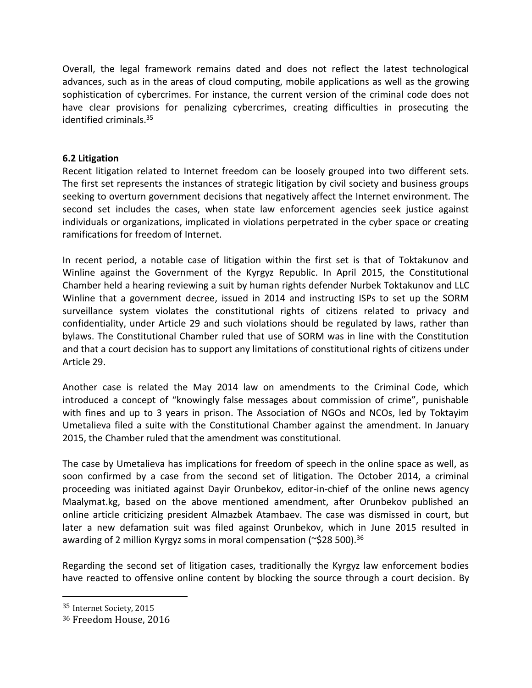Overall, the legal framework remains dated and does not reflect the latest technological advances, such as in the areas of cloud computing, mobile applications as well as the growing sophistication of cybercrimes. For instance, the current version of the criminal code does not have clear provisions for penalizing cybercrimes, creating difficulties in prosecuting the identified criminals.<sup>35</sup>

### **6.2 Litigation**

Recent litigation related to Internet freedom can be loosely grouped into two different sets. The first set represents the instances of strategic litigation by civil society and business groups seeking to overturn government decisions that negatively affect the Internet environment. The second set includes the cases, when state law enforcement agencies seek justice against individuals or organizations, implicated in violations perpetrated in the cyber space or creating ramifications for freedom of Internet.

In recent period, a notable case of litigation within the first set is that of Toktakunov and Winline against the Government of the Kyrgyz Republic. In April 2015, the Constitutional Chamber held a hearing reviewing a suit by human rights defender Nurbek Toktakunov and LLC Winline that a government decree, issued in 2014 and instructing ISPs to set up the SORM surveillance system violates the constitutional rights of citizens related to privacy and confidentiality, under Article 29 and such violations should be regulated by laws, rather than bylaws. The Constitutional Chamber ruled that use of SORM was in line with the Constitution and that a court decision has to support any limitations of constitutional rights of citizens under Article 29.

Another case is related the May 2014 law on amendments to the Criminal Code, which introduced a concept of "knowingly false messages about commission of crime", punishable with fines and up to 3 years in prison. The Association of NGOs and NCOs, led by Toktayim Umetalieva filed a suite with the Constitutional Chamber against the amendment. In January 2015, the Chamber ruled that the amendment was constitutional.

The case by Umetalieva has implications for freedom of speech in the online space as well, as soon confirmed by a case from the second set of litigation. The October 2014, a criminal proceeding was initiated against Dayir Orunbekov, editor-in-chief of the online news agency Maalymat.kg, based on the above mentioned amendment, after Orunbekov published an online article criticizing president Almazbek Atambaev. The case was dismissed in court, but later a new defamation suit was filed against Orunbekov, which in June 2015 resulted in awarding of 2 million Kyrgyz soms in moral compensation (~\$28 500).<sup>36</sup>

Regarding the second set of litigation cases, traditionally the Kyrgyz law enforcement bodies have reacted to offensive online content by blocking the source through a court decision. By

 $\overline{a}$ 

<sup>35</sup> Internet Society, 2015

<sup>36</sup> Freedom House, 2016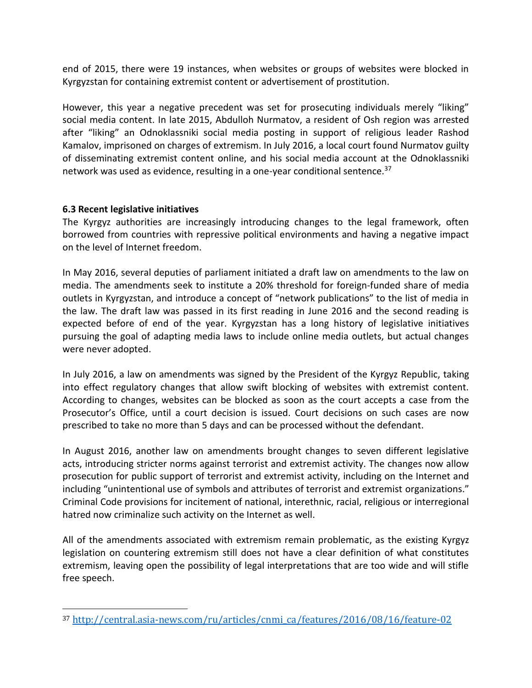end of 2015, there were 19 instances, when websites or groups of websites were blocked in Kyrgyzstan for containing extremist content or advertisement of prostitution.

However, this year a negative precedent was set for prosecuting individuals merely "liking" social media content. In late 2015, Abdulloh Nurmatov, a resident of Osh region was arrested after "liking" an Odnoklassniki social media posting in support of religious leader Rashod Kamalov, imprisoned on charges of extremism. In July 2016, a local court found Nurmatov guilty of disseminating extremist content online, and his social media account at the Odnoklassniki network was used as evidence, resulting in a one-year conditional sentence.<sup>37</sup>

### **6.3 Recent legislative initiatives**

l

The Kyrgyz authorities are increasingly introducing changes to the legal framework, often borrowed from countries with repressive political environments and having a negative impact on the level of Internet freedom.

In May 2016, several deputies of parliament initiated a draft law on amendments to the law on media. The amendments seek to institute a 20% threshold for foreign-funded share of media outlets in Kyrgyzstan, and introduce a concept of "network publications" to the list of media in the law. The draft law was passed in its first reading in June 2016 and the second reading is expected before of end of the year. Kyrgyzstan has a long history of legislative initiatives pursuing the goal of adapting media laws to include online media outlets, but actual changes were never adopted.

In July 2016, a law on amendments was signed by the President of the Kyrgyz Republic, taking into effect regulatory changes that allow swift blocking of websites with extremist content. According to changes, websites can be blocked as soon as the court accepts a case from the Prosecutor's Office, until a court decision is issued. Court decisions on such cases are now prescribed to take no more than 5 days and can be processed without the defendant.

In August 2016, another law on amendments brought changes to seven different legislative acts, introducing stricter norms against terrorist and extremist activity. The changes now allow prosecution for public support of terrorist and extremist activity, including on the Internet and including "unintentional use of symbols and attributes of terrorist and extremist organizations." Criminal Code provisions for incitement of national, interethnic, racial, religious or interregional hatred now criminalize such activity on the Internet as well.

All of the amendments associated with extremism remain problematic, as the existing Kyrgyz legislation on countering extremism still does not have a clear definition of what constitutes extremism, leaving open the possibility of legal interpretations that are too wide and will stifle free speech.

<sup>37</sup> [http://central.asia-news.com/ru/articles/cnmi\\_ca/features/2016/08/16/feature-02](http://central.asia-news.com/ru/articles/cnmi_ca/features/2016/08/16/feature-02)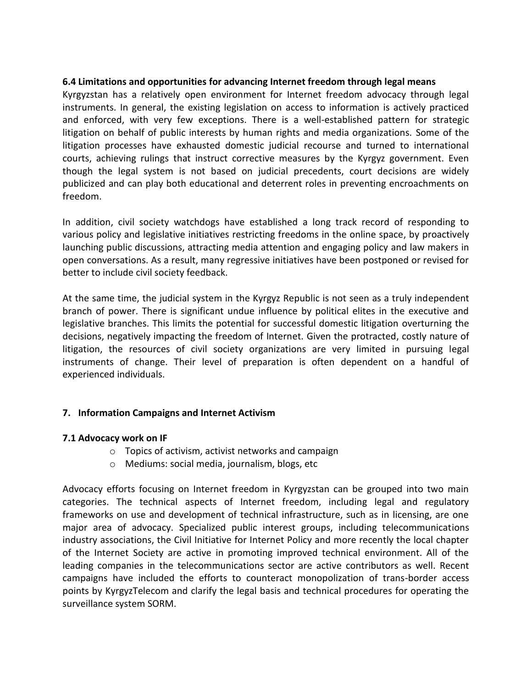#### **6.4 Limitations and opportunities for advancing Internet freedom through legal means**

Kyrgyzstan has a relatively open environment for Internet freedom advocacy through legal instruments. In general, the existing legislation on access to information is actively practiced and enforced, with very few exceptions. There is a well-established pattern for strategic litigation on behalf of public interests by human rights and media organizations. Some of the litigation processes have exhausted domestic judicial recourse and turned to international courts, achieving rulings that instruct corrective measures by the Kyrgyz government. Even though the legal system is not based on judicial precedents, court decisions are widely publicized and can play both educational and deterrent roles in preventing encroachments on freedom.

In addition, civil society watchdogs have established a long track record of responding to various policy and legislative initiatives restricting freedoms in the online space, by proactively launching public discussions, attracting media attention and engaging policy and law makers in open conversations. As a result, many regressive initiatives have been postponed or revised for better to include civil society feedback.

At the same time, the judicial system in the Kyrgyz Republic is not seen as a truly independent branch of power. There is significant undue influence by political elites in the executive and legislative branches. This limits the potential for successful domestic litigation overturning the decisions, negatively impacting the freedom of Internet. Given the protracted, costly nature of litigation, the resources of civil society organizations are very limited in pursuing legal instruments of change. Their level of preparation is often dependent on a handful of experienced individuals.

# **7. Information Campaigns and Internet Activism**

#### **7.1 Advocacy work on IF**

- o Topics of activism, activist networks and campaign
- o Mediums: social media, journalism, blogs, etc

Advocacy efforts focusing on Internet freedom in Kyrgyzstan can be grouped into two main categories. The technical aspects of Internet freedom, including legal and regulatory frameworks on use and development of technical infrastructure, such as in licensing, are one major area of advocacy. Specialized public interest groups, including telecommunications industry associations, the Civil Initiative for Internet Policy and more recently the local chapter of the Internet Society are active in promoting improved technical environment. All of the leading companies in the telecommunications sector are active contributors as well. Recent campaigns have included the efforts to counteract monopolization of trans-border access points by KyrgyzTelecom and clarify the legal basis and technical procedures for operating the surveillance system SORM.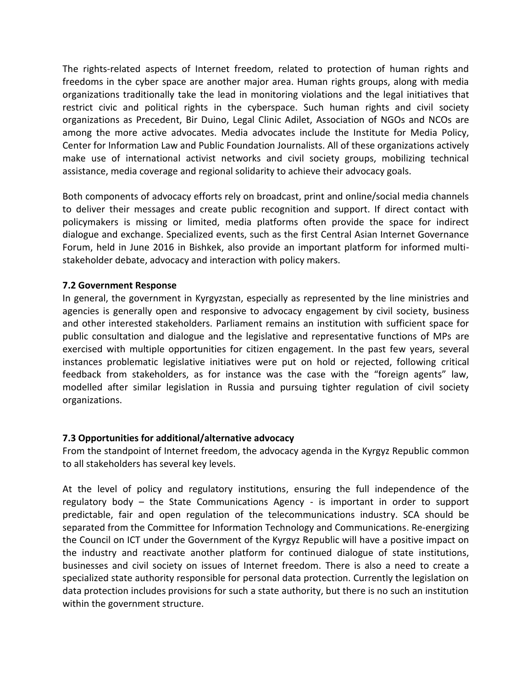The rights-related aspects of Internet freedom, related to protection of human rights and freedoms in the cyber space are another major area. Human rights groups, along with media organizations traditionally take the lead in monitoring violations and the legal initiatives that restrict civic and political rights in the cyberspace. Such human rights and civil society organizations as Precedent, Bir Duino, Legal Clinic Adilet, Association of NGOs and NCOs are among the more active advocates. Media advocates include the Institute for Media Policy, Center for Information Law and Public Foundation Journalists. All of these organizations actively make use of international activist networks and civil society groups, mobilizing technical assistance, media coverage and regional solidarity to achieve their advocacy goals.

Both components of advocacy efforts rely on broadcast, print and online/social media channels to deliver their messages and create public recognition and support. If direct contact with policymakers is missing or limited, media platforms often provide the space for indirect dialogue and exchange. Specialized events, such as the first Central Asian Internet Governance Forum, held in June 2016 in Bishkek, also provide an important platform for informed multistakeholder debate, advocacy and interaction with policy makers.

#### **7.2 Government Response**

In general, the government in Kyrgyzstan, especially as represented by the line ministries and agencies is generally open and responsive to advocacy engagement by civil society, business and other interested stakeholders. Parliament remains an institution with sufficient space for public consultation and dialogue and the legislative and representative functions of MPs are exercised with multiple opportunities for citizen engagement. In the past few years, several instances problematic legislative initiatives were put on hold or rejected, following critical feedback from stakeholders, as for instance was the case with the "foreign agents" law, modelled after similar legislation in Russia and pursuing tighter regulation of civil society organizations.

#### **7.3 Opportunities for additional/alternative advocacy**

From the standpoint of Internet freedom, the advocacy agenda in the Kyrgyz Republic common to all stakeholders has several key levels.

At the level of policy and regulatory institutions, ensuring the full independence of the regulatory body – the State Communications Agency - is important in order to support predictable, fair and open regulation of the telecommunications industry. SCA should be separated from the Committee for Information Technology and Communications. Re-energizing the Council on ICT under the Government of the Kyrgyz Republic will have a positive impact on the industry and reactivate another platform for continued dialogue of state institutions, businesses and civil society on issues of Internet freedom. There is also a need to create a specialized state authority responsible for personal data protection. Currently the legislation on data protection includes provisions for such a state authority, but there is no such an institution within the government structure.